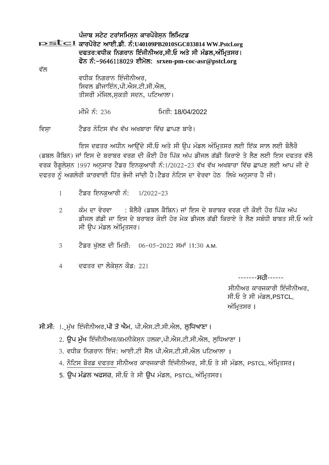ਪੰਜਾਬ ਸਟੇਟ ਟਰਾਂਸਮਿਸਨ ਕਾਰਪੋਰੇਸਨ ਲਿਮਿਟਡ **PSLCI** ਕਾਰਪੋਰੇਟ ਆਈ.ਡੀ. ਨੰ:U40109PB2010SGC033814 WW.Pstcl.org ਦਫਤਰ:ਵਧੀਕ ਨਿਗਰਾਨ ਇੰਜੀਨੀਅਰ,ਸੀ.ਓ ਅਤੇ ਸੀ ਮੰਡਲ,ਅੰਮ੍ਰਿਤਸਰ। ਫੋਨ ਨੰ:-9646118029 ਈਮੇਲ: srxen-pm-coc-asr@pstcl.org ਵੱਲ ਵਧੀਕ ਨਿਗਰਾਨ ਇੰਜੀਨੀਅਰ, ਸਿਵਲ ਡੀਜਾਇੰਨ.ਪੀ.ਐਸ.ਟੀ.ਸੀ.ਐਲ. ਤੀਸਰੀ ਮੰਜਿਲ,ਸਕਤੀ ਸਦਨ, ਪਟਿਆਲਾ।

> <u>ਮੀਮੋ ਨੰ: 236</u> ਮਿਤੀ: 18/04/2022

ਟੈਡਰ ਨੋਟਿਸ ਵੱਖ ਵੱਖ ਅਖਬਾਰਾ ਵਿੱਚ ਛਾਪਣ ਬਾਰੇ। ਵਿਸਾ

ਇਸ ਦਫਤਰ ਅਧੀਨ ਆਉਂਦੇ ਸੀ.ਓ ਅਤੇ ਸੀ ਉਪ ਮੰਡਲ ਅੰਮ੍ਰਿਤਸਰ ਲਈ ਇੱਕ ਸਾਲ ਲਈ ਬੋਲੈਰੋ (ਡਬਲ ਕੈਬਿਨ) ਜਾਂ ਇਸ ਦੇ ਬਰਾਬਰ ਵਰਗ ਦੀ ਕੋਈ ਹੋਰ ਪਿੱਕ ਅੱਪ ਡੀਜਲ ਗੱਡੀ ਕਿਰਾਏ ਤੇ ਲੈਣ ਲਈ ਇਸ ਦਫਤਰ ਵੱਲੋ ਵਰਕ ਰੈਗਲੇਸ਼ਨ 1997 ਅਨੁਸਾਰ ਟੈਡਰ ਇਨਕੁਆਰੀ ਨੰ:1/2022-23 ਵੱਖ ਵੱਖ ਅਖਬਾਰਾ ਵਿੱਚ ਛਾਪਣ ਲਈ ਆਪ ਜੀ ਦੇ ਦਫਤਰ ਨੂੰ ਅਗਲੇਰੀ ਕਾਰਵਾਈ ਹਿੱਤ ਭੇਜੀ ਜਾਂਦੀ ਹੈ।ਟੈਡਰ ਨੋਟਿਸ ਦਾ ਵੇਰਵਾ ਹੇਠ ਲਿਖੇ ਅਨੁਸਾਰ ਹੈ ਜੀ।

- ਟੈਡਰ ਇਨਕਆਰੀ ਨੰ:  $\mathbf{1}$  $1/2022 - 23$
- ਕੰਮ ਦਾ ਵੇਰਵਾ : ਬੋਲੈਰੋ (ਡਬਲ ਕੈਬਿਨ) ਜਾਂ ਇਸ ਦੇ ਬਰਾਬਰ ਵਰਗ ਦੀ ਕੋਈ ਹੋਰ ਪਿੱਕ ਅੱਪ  $\mathcal{L}$ ਡੀਜਲ ਗੱਡੀ ਜਾ ਇਸ ਦੇ ਬਰਾਬਰ ਕੋਈ ਹੋਰ ਮੇਕ ਡੀਜਲ ਗੱਡੀ ਕਿਰਾਏ ਤੇ ਲੈਣ ਸਬੰਧੀ ਬਾਬਤ ਸੀ.ਓ ਅਤੇ ਸੀ ੳਪ ਮੰਡਲ ਅੰਮਿਤਸਰ।
- ਟੈਡਰ ਖੱਲਣ ਦੀ ਮਿਤੀ: 06-05-2022 ਸਮਾਂ 11:30 A.M. 3
- ਦਫਤਰ ਦਾ ਲੋਕੇਸਨ ਕੋਡ: 221  $\overline{4}$

-------**-ਸ**ती------

ਸੀਨੀਅਰ ਕਾਰਜਕਾਰੀ ਇੰਜੀਨੀਅਰ. ਸੀ.ਓ ਤੇ ਸੀ ਮੰਡਲ.PSTCL. ਅੰਮ੍ਰਿਤਸਰ ।

ਸੀ.ਸੀ: 1. ਮੁੱਖ ਇੰਜੀਨੀਅਰ,ਪੀ ਤੇ ਐਮ, ਪੀ.ਐਸ.ਟੀ.ਸੀ.ਐਲ, ਲੁਧਿਆਣਾ।

- 2. ਉਪ ਮੱਖ ਇੰਜੀਨੀਅਰ/ਕਮਨੀਕੇਸਨ ਹਲਕਾ,ਪੀ.ਐਸ.ਟੀ.ਸੀ.ਐਲ, ਲਧਿਆਣਾ ।
- 3. ਵਧੀਕ ਨਿਗਰਾਨ ਇੰਜੂ: ਆਈ.ਟੀ ਸੈੱਲ ਪੀ.ਐਸ.ਟੀ.ਸੀ.ਐਲ ਪਟਿਆਲਾ ।
- 4. ਨੋਟਿਸ ਬੋਰਡ ਦਫਤਰ ਸੀਨੀਅਰ ਕਾਰਜਕਾਰੀ ਇੰਜੀਨੀਅਰ, ਸੀ.ਓ ਤੇ ਸੀ ਮੰਡਲ, PSTCL, ਅੰਮ੍ਰਿਤਸਰ।
- 5. ਉਪ ਮੰਡਲ ਅਫਸਰ, ਸੀ.ਓ ਤੇ ਸੀ ਉਪ ਮੰਡਲ, PSTCL, ਅੰਮ੍ਰਿਤਸਰ।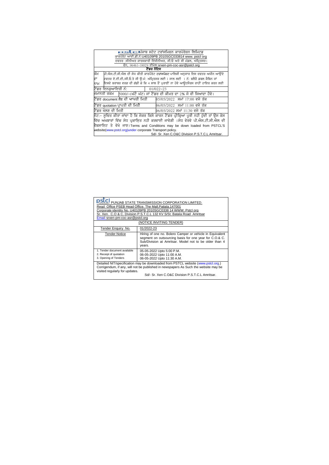| <u>pstch</u> ůਜਾਬ ਸਟੇਟ ਟਰਾਂਸਮਿਸਨ ਕਾਰਪੋਰੇਸਨ ਲਿਮਿਟਡ                                                                                                             |                               |  |  |
|---------------------------------------------------------------------------------------------------------------------------------------------------------------|-------------------------------|--|--|
| ਕਾਰਪੋਰੇਟ ਆਈ.ਡੀ.ਨੰ:U40109PB 2010SGC033814 www.pstclorg                                                                                                         |                               |  |  |
| ਦਫਤਰ :ਸੀਨੀਅਰ ਕਾਰਜਕਾਰੀ ਇੰਜੀਨੀਅਰ, ਸੀ.ਓ ਅਤੇ ਸੀ ਮੰਡਲ, ਅੰਮ੍ਰਿਤਸਰ।                                                                                                  |                               |  |  |
| ਫੋਨ, 96461-18029 ਈਮੇਲ:srxen-pm-coc-asr@pstcl.org                                                                                                              |                               |  |  |
| ਟੈਂਡਰ ਨਟਿਸ                                                                                                                                                    |                               |  |  |
| ਕੰਮ<br>ਪੀ.ਐਸ.ਟੀ.ਸੀ.ਐਲ ਦੀ ਸੋਧ ਕੀਤੀ ਕਾਰਪੋਰੇਟ ਟਰਾਂਸਪੋਰਟ ਪਾਲਿਸੀ ਅਨਸਾਰ ਇਸ ਦਫਤਰ ਅਧੀਨ ਆਉਂਦੇ                                                                          |                               |  |  |
| ਦਫਤਰ ਏ.ਈ.ਈ./ਸੀ.ਓ.ਤੇ ਸੀ ੳ:ਮੰ: ਅੰਮਿਤਸਰ ਲਈ 1 ਸਾਲ ਲਈ _1 ਨੰ: ਬਲੈਰੋ ਡਬਲ ਕੈਬਿਨ ਜਾਂ<br>ਦਾ                                                                             |                               |  |  |
| ਇਸਦੇ ਬਰਾਬਰ ਵਰਗ ਦੀ ਗੱਡੀ ਜ਼ੋ ਕਿ 4 ਸਾਲ ਤੋਂ ਪੁਰਾਣੀ ਨਾ ਹੋਵੇ ਆਉਟਸੋਰਸ ਰਾਹੀਂ ਹਾਇਰ ਕਰਨ ਲਈ<br>ਨਾਮ                                                                       |                               |  |  |
| ਟੈਂਡਰ ਇਨਕਆਇਰੀ ਨੰ:                                                                                                                                             | $01/022 - 23$                 |  |  |
| ਜਮਾਨਤੀ ਰਕਮ _5000/-(ਘੱਟੋ ਘੱਟ) ਜਾਂ ਟੈਂਡਰ ਦੀ ਕੀਮਤ ਦਾ 2% ਜੋ ਵੀ ਜਿਆਦਾ ਹੋਵੇ।                                                                                        |                               |  |  |
| ਟੈਂਡਰ document ਲੈਣ ਦੀ ਆਾਖਰੀ ਮਿਤੀ                                                                                                                              | 05/05/2022 ਸਮਾਂ 17:00 ਵਜੇ ਤੱਕ |  |  |
| ਟੈਂਡਰ quotation ਪਾਪਤੀ ਦੀ ਮਿਤੀ                                                                                                                                 | 06/05/2022 ਸਮਾਂ 11:00 ਵਜੇ ਤੱਕ |  |  |
| ਟੈਂਡਰ ਖੋਲਣ ਦੀ ਮਿਤੀ                                                                                                                                            | 06/05/2022 ਸਮਾਂ 11:30 ਵਜੇ ਤੱਕ |  |  |
| ਨੌਂਟ:- ਸਚਿਤ ਕੀਤਾ ਜਾਂਦਾ ਹੈ ਕਿ ਜੇਕਰ ਕਿਸੇ ਕਾਰਨ ਟੈਂਡਰ ਪੀਕਿਆ ਪਰੀ ਨਹੀ ਹੰਦੀ ਤਾਂ ੳਸ ਕੇਸ<br>ਵਿੱਚ ਅਖਬਾਰਾਂ ਵਿੱਚ ਸੋਧ ਪਕਾਸਿਤ ਨਹੀ ਕਰਵਾਈ ਜਾਵੇਗੀ ।ਸੋਧ ਵੇਰਵੇ ਪੀ.ਐਸ.ਟੀ.ਸੀ.ਐਲ ਦੀ |                               |  |  |
| ਵੈਬਸਾਇਟ ਤੇ ਵੇਖੇ ਜਾਣ।Terms and Conditions may be down loaded from PSTCL'S                                                                                      |                               |  |  |
| website(www.pstcl.org)under corporate Transport policy.                                                                                                       |                               |  |  |
| Sd/- Sr. Xen C.O&C Division P.S.T.C.L Amritsar.                                                                                                               |                               |  |  |
|                                                                                                                                                               |                               |  |  |

| PUNJAB STATE TRANSMISSION CORPORATION LIMITED.<br>Read Office PSEB Head Office. The Mall.Patiala.147001<br>Corporate identity No. U40109PB 2010SGC0338 14 WWW. Pstcl org<br>Sr. Xen. C.O & C. Division P.S.T.C.L 132 KV S/St. Batala Road Amritsar<br>Email:srxen-pm-coc-asr@pstcl.org<br>(NOTICE INVITING TENDER) |                                                                                                                                                                                        |  |  |
|--------------------------------------------------------------------------------------------------------------------------------------------------------------------------------------------------------------------------------------------------------------------------------------------------------------------|----------------------------------------------------------------------------------------------------------------------------------------------------------------------------------------|--|--|
| Tender Enquiry No.                                                                                                                                                                                                                                                                                                 | 01/2022-23                                                                                                                                                                             |  |  |
| <b>Tender Notice</b>                                                                                                                                                                                                                                                                                               | Hiring of one no. Bolero Camper or vehicle in Equivalent<br>segment on outsourcing basis for one year for C.O.& C.<br>Sub/Division at Amritsar. Model not to be older than 4<br>years. |  |  |
| 1. Tender document available<br>2. Receipt of quotation<br>3. Opening of Tenders                                                                                                                                                                                                                                   | 05-05-2022 Upto 5:00 P.M.<br>06-05-2022 Upto 11:00 A.M.<br>06-05-2022 Upto 11:30 A.M.                                                                                                  |  |  |
| Detailed NIT/specification may be downloaded from PSTCL website (www.pstcl.org.)<br>Corrigendum, if any, will not be published in newspapers As Such the website may be<br>visited regularly for updates.<br>Sd/- Sr. Xen C.O&C Division P.S.T.C.L Amritsar.                                                       |                                                                                                                                                                                        |  |  |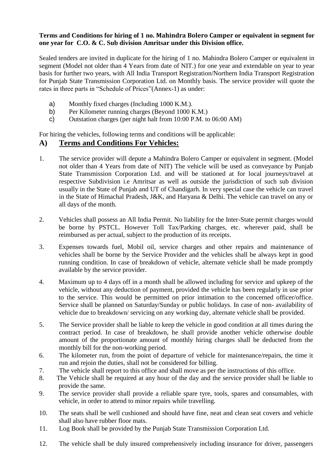#### **Terms and Conditions for hiring of 1 no. Mahindra Bolero Camper or equivalent in segment for one year for C.O. & C. Sub division Amritsar under this Division office.**

Sealed tenders are invited in duplicate for the hiring of 1 no. Mahindra Bolero Camper or equivalent in segment (Model not older than 4 Years from date of NIT.) for one year and extendable on year to year basis for further two years, with All India Transport Registration/Northern India Transport Registration for Punjab State Transmission Corporation Ltd. on Monthly basis. The service provider will quote the rates in three parts in "Schedule of Prices"(Annex-1) as under:

- a) Monthly fixed charges (Including 1000 K.M.).
- b) Per Kilometer running charges (Beyond 1000 K.M.)
- c) Outstation charges (per night halt from 10:00 P.M. to 06:00 AM)

For hiring the vehicles, following terms and conditions will be applicable:

#### **A) Terms and Conditions For Vehicles:**

- 1. The service provider will depute a Mahindra Bolero Camper or equivalent in segment. (Model not older than 4 Years from date of NIT) The vehicle will be used as conveyance by Punjab State Transmission Corporation Ltd. and will be stationed at for local journeys/travel at respective Subdivision i.e Amritsar as well as outside the jurisdiction of such sub division usually in the State of Punjab and UT of Chandigarh. In very special case the vehicle can travel in the State of Himachal Pradesh, J&K, and Haryana & Delhi. The vehicle can travel on any or all days of the month.
- 2. Vehicles shall possess an All India Permit. No liability for the Inter-State permit charges would be borne by PSTCL. However Toll Tax/Parking charges, etc. wherever paid, shall be reimbursed as per actual, subject to the production of its receipts.
- 3. Expenses towards fuel, Mobil oil, service charges and other repairs and maintenance of vehicles shall be borne by the Service Provider and the vehicles shall be always kept in good running condition. In case of breakdown of vehicle, alternate vehicle shall be made promptly available by the service provider.
- 4. Maximum up to 4 days off in a month shall be allowed including for service and upkeep of the vehicle, without any deduction of payment, provided the vehicle has been regularly in use prior to the service. This would be permitted on prior intimation to the concerned officer/office. Service shall be planned on Saturday/Sunday or public holidays. In case of non- availability of vehicle due to breakdown/ servicing on any working day, alternate vehicle shall be provided.
- 5. The Service provider shall be liable to keep the vehicle in good condition at all times during the contract period. In case of breakdown, he shall provide another vehicle otherwise double amount of the proportionate amount of monthly hiring charges shall be deducted from the monthly bill for the non-working period.
- 6. The kilometer run, from the point of departure of vehicle for maintenance/repairs, the time it run and rejoin the duties, shall not be considered for billing.
- 7. The vehicle shall report to this office and shall move as per the instructions of this office.
- 8. The Vehicle shall be required at any hour of the day and the service provider shall be liable to provide the same.
- 9. The service provider shall provide a reliable spare tyre, tools, spares and consumables, with vehicle, in order to attend to minor repairs while travelling.
- 10. The seats shall be well cushioned and should have fine, neat and clean seat covers and vehicle shall also have rubber floor mats.
- 11. Log Book shall be provided by the Punjab State Transmission Corporation Ltd.
- 12. The vehicle shall be duly insured comprehensively including insurance for driver, passengers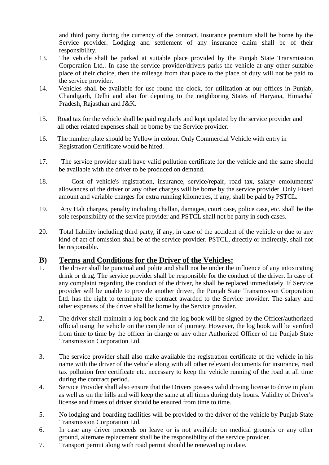and third party during the currency of the contract. Insurance premium shall be borne by the Service provider. Lodging and settlement of any insurance claim shall be of their responsibility.

- 13. The vehicle shall be parked at suitable place provided by the Punjab State Transmission Corporation Ltd.. In case the service provider/drivers parks the vehicle at any other suitable place of their choice, then the mileage from that place to the place of duty will not be paid to the service provider.
- 14. Vehicles shall be available for use round the clock, for utilization at our offices in Punjab, Chandigarh, Delhi and also for deputing to the neighboring States of Haryana, Himachal Pradesh, Rajasthan and J&K.
- . 15. Road tax for the vehicle shall be paid regularly and kept updated by the service provider and all other related expenses shall be borne by the Service provider.
- 16. The number plate should be Yellow in colour. Only Commercial Vehicle with entry in Registration Certificate would be hired.
- 17. The service provider shall have valid pollution certificate for the vehicle and the same should be available with the driver to be produced on demand.
- 18. Cost of vehicle's registration, insurance, service/repair, road tax, salary/ emoluments/ allowances of the driver or any other charges will be borne by the service provider. Only Fixed amount and variable charges for extra running kilometres, if any, shall be paid by PSTCL.
- 19. Any Halt charges, penalty including challan, damages, court case, police case, etc. shall be the sole responsibility of the service provider and PSTCL shall not be party in such cases.
- 20. Total liability including third party, if any, in case of the accident of the vehicle or due to any kind of act of omission shall be of the service provider. PSTCL, directly or indirectly, shall not be responsible.

#### **B) Terms and Conditions for the Driver of the Vehicles:**

- 1. The driver shall be punctual and polite and shall not be under the influence of any intoxicating drink or drug. The service provider shall be responsible for the conduct of the driver. In case of any complaint regarding the conduct of the driver, he shall be replaced immediately. If Service provider will be unable to provide another driver, the Punjab State Transmission Corporation Ltd. has the right to terminate the contract awarded to the Service provider. The salary and other expenses of the driver shall be borne by the Service provider.
- 2. The driver shall maintain a log book and the log book will be signed by the Officer/authorized official using the vehicle on the completion of journey. However, the log book will be verified from time to time by the officer in charge or any other Authorized Officer of the Punjab State Transmission Corporation Ltd.
- 3. The service provider shall also make available the registration certificate of the vehicle in his name with the driver of the vehicle along with all other relevant documents for insurance, road tax pollution free certificate etc. necessary to keep the vehicle running of the road at all time during the contract period.
- 4. Service Provider shall also ensure that the Drivers possess valid driving license to drive in plain as well as on the hills and will keep the same at all times during duty hours. Validity of Driver's license and fitness of driver should be ensured from time to time.
- 5. No lodging and boarding facilities will be provided to the driver of the vehicle by Punjab State Transmission Corporation Ltd.
- 6. In case any driver proceeds on leave or is not available on medical grounds or any other ground, alternate replacement shall be the responsibility of the service provider.
- 7. Transport permit along with road permit should be renewed up to date.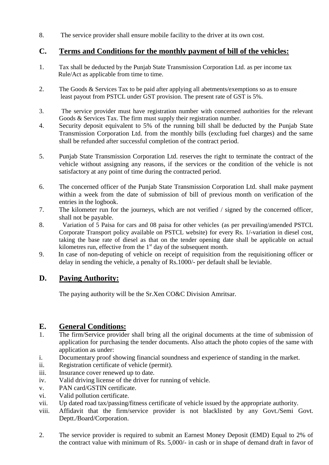8. The service provider shall ensure mobile facility to the driver at its own cost.

## **C. Terms and Conditions for the monthly payment of bill of the vehicles:**

- 1. Tax shall be deducted by the Punjab State Transmission Corporation Ltd. as per income tax Rule/Act as applicable from time to time.
- 2. The Goods & Services Tax to be paid after applying all abetments/exemptions so as to ensure least payout from PSTCL under GST provision. The present rate of GST is 5%.
- 3. The service provider must have registration number with concerned authorities for the relevant Goods & Services Tax. The firm must supply their registration number.
- 4. Security deposit equivalent to 5% of the running bill shall be deducted by the Punjab State Transmission Corporation Ltd. from the monthly bills (excluding fuel charges) and the same shall be refunded after successful completion of the contract period.
- 5. Punjab State Transmission Corporation Ltd. reserves the right to terminate the contract of the vehicle without assigning any reasons, if the services or the condition of the vehicle is not satisfactory at any point of time during the contracted period.
- 6. The concerned officer of the Punjab State Transmission Corporation Ltd. shall make payment within a week from the date of submission of bill of previous month on verification of the entries in the logbook.
- 7. The kilometer run for the journeys, which are not verified / signed by the concerned officer, shall not be payable.
- 8. Variation of 5 Paisa for cars and 08 paisa for other vehicles (as per prevailing/amended PSTCL Corporate Transport policy available on PSTCL website) for every Rs. 1/-variation in diesel cost, taking the base rate of diesel as that on the tender opening date shall be applicable on actual kilometres run, effective from the  $1<sup>st</sup>$  day of the subsequent month.
- 9. In case of non-deputing of vehicle on receipt of requisition from the requisitioning officer or delay in sending the vehicle, a penalty of Rs.1000/- per default shall be leviable.

## **D. Paying Authority:**

The paying authority will be the Sr.Xen CO&C Division Amritsar.

## **E. General Conditions:**

- 1. The firm/Service provider shall bring all the original documents at the time of submission of application for purchasing the tender documents. Also attach the photo copies of the same with application as under:
- i. Documentary proof showing financial soundness and experience of standing in the market.
- ii. Registration certificate of vehicle (permit).
- iii. Insurance cover renewed up to date.
- iv. Valid driving license of the driver for running of vehicle.
- v. PAN card/GSTIN certificate.
- vi. Valid pollution certificate.
- vii. Up dated road tax/passing/fitness certificate of vehicle issued by the appropriate authority.
- viii. Affidavit that the firm/service provider is not blacklisted by any Govt./Semi Govt. Deptt./Board/Corporation.
- 2. The service provider is required to submit an Earnest Money Deposit (EMD) Equal to 2% of the contract value with minimum of Rs. 5,000/- in cash or in shape of demand draft in favor of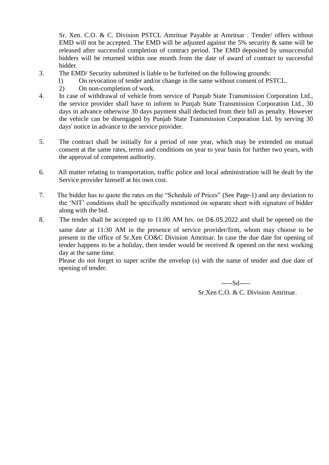Sr. Xen. C.O. & C. Division PSTCL Amritsar Payable at Amritsar . Tender/ offers without EMD will not be accepted. The EMD will be adjusted against the 5% security  $\&$  same will be released after successful completion of contract period. The EMD deposited by unsuccessful bidders will be returned within one month from the date of award of contract to successful bidder.

- 3. The EMD/ Security submitted is liable to be forfeited on the following grounds:
	- 1) On revocation of tender and/or change in the same without consent of PSTCL.
	- 2) On non-completion of work.
- 4. In case of withdrawal of vehicle from service of Punjab State Transmission Corporation Ltd., the service provider shall have to inform to Punjab State Transmission Corporation Ltd., 30 days in advance otherwise 30 days payment shall deducted from their bill as penalty. However the vehicle can be disengaged by Punjab State Transmission Corporation Ltd. by serving 30 days' notice in advance to the service provider.
- 5. The contract shall be initially for a period of one year, which may be extended on mutual consent at the same rates, terms and conditions on year to year basis for further two years, with the approval of competent authority.
- 6. All matter relating to transportation, traffic police and local administration will be dealt by the Service provider himself at his own cost.
- 7. The bidder has to quote the rates on the "Schedule of Prices" (See Page-1) and any deviation to the "NIT" conditions shall be specifically mentioned on separate sheet with signature of bidder along with the bid.
- 8. The tender shall be accepted up to 11.00 AM hrs. on 06.05.2022 and shall be opened on the

same date at 11:30 AM in the presence of service provider/firm, whom may choose to be present in the office of Sr.Xen CO&C Division Amritsar. In case the due date for opening of tender happens to be a holiday, then tender would be received & opened on the next working day at the same time.

Please do not forget to super scribe the envelop (s) with the name of tender and due date of opening of tender.

> -----Sd----- Sr.Xen C.O. & C. Division Amritsar.